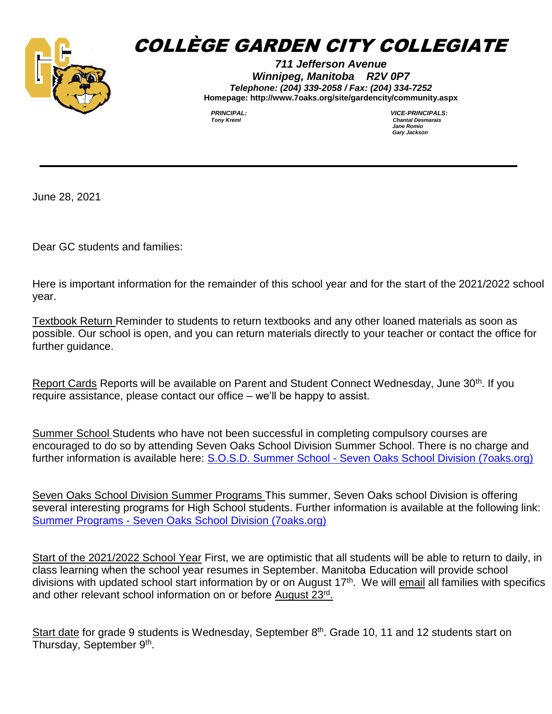

## COLLÈGE GARDEN CITY COLLEGIATE

*711 Jefferson Avenue Winnipeg, Manitoba R2V 0P7 Telephone: (204) 339-2058 / Fax: (204) 334-7252* **Homepage: http://www.7oaks.org/site/gardencity/community.aspx**

*PRINCIPAL: VICE-PRINCIPALS: Jane Romio Gary Jackson* 

June 28, 2021

Dear GC students and families:

Here is important information for the remainder of this school year and for the start of the 2021/2022 school year.

Textbook Return Reminder to students to return textbooks and any other loaned materials as soon as possible. Our school is open, and you can return materials directly to your teacher or contact the office for further guidance.

Report Cards Reports will be available on Parent and Student Connect Wednesday, June 30<sup>th</sup>. If you require assistance, please contact our office – we'll be happy to assist.

Summer School Students who have not been successful in completing compulsory courses are encouraged to do so by attending Seven Oaks School Division Summer School. There is no charge and further information is available here: S.O.S.D. Summer School - [Seven Oaks School Division \(7oaks.org\)](https://www.7oaks.org/Programs/summerschool/Pages/default.aspx#/=)

Seven Oaks School Division Summer Programs This summer, Seven Oaks school Division is offering several interesting programs for High School students. Further information is available at the following link: Summer Programs - [Seven Oaks School Division \(7oaks.org\)](https://www.7oaks.org/Pages/Summer-Programs.aspx#/=)

Start of the 2021/2022 School Year First, we are optimistic that all students will be able to return to daily, in class learning when the school year resumes in September. Manitoba Education will provide school divisions with updated school start information by or on August 17<sup>th</sup>. We will **email all families with specifics** and other relevant school information on or before August 23rd.

Start date for grade 9 students is Wednesday, September 8<sup>th</sup>. Grade 10, 11 and 12 students start on Thursday, September 9<sup>th</sup>.